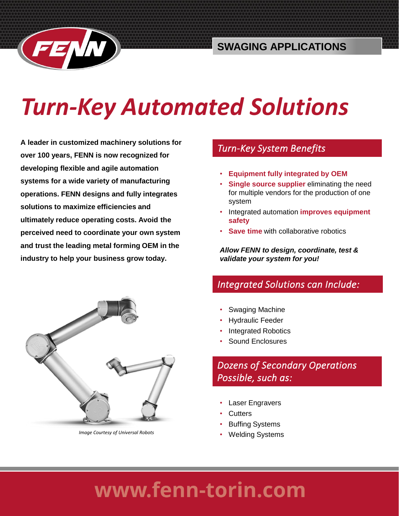### **SWAGING APPLICATIONS**



# *Turn-Key Automated Solutions*

**A leader in customized machinery solutions for over 100 years, FENN is now recognized for developing flexible and agile automation systems for a wide variety of manufacturing operations. FENN designs and fully integrates solutions to maximize efficiencies and ultimately reduce operating costs. Avoid the perceived need to coordinate your own system and trust the leading metal forming OEM in the industry to help your business grow today.** 



*Image Courtesy of Universal Robots*

#### *Turn-Key System Benefits*

- **Equipment fully integrated by OEM**
- **Single source supplier** eliminating the need for multiple vendors for the production of one system
- Integrated automation **improves equipment safety**
- **Save time** with collaborative robotics

*Allow FENN to design, coordinate, test & validate your system for you!* 

## *Integrated Solutions can Include:*

- Swaging Machine
- Hydraulic Feeder
- Integrated Robotics
- Sound Enclosures

### *Dozens of Secondary Operations Possible, such as:*

- Laser Engravers
- Cutters
- **Buffing Systems**
- Welding Systems

# www.fenn-torin.com